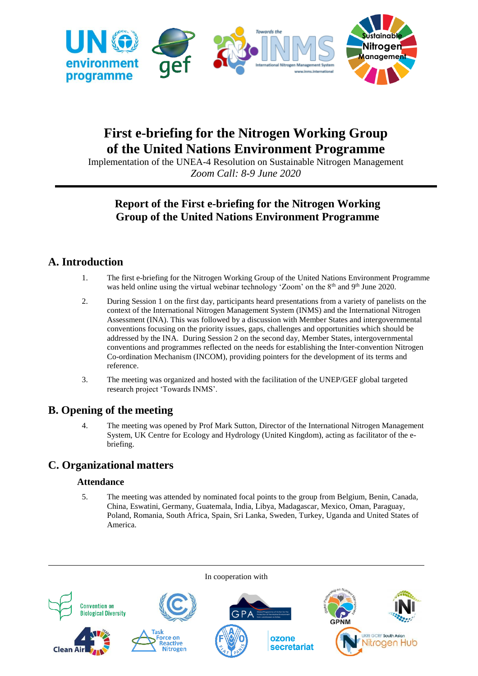

# **First e-briefing for the Nitrogen Working Group of the United Nations Environment Programme**

Implementation of the UNEA-4 Resolution on Sustainable Nitrogen Management *Zoom Call: 8-9 June 2020*

# **Report of the First e-briefing for the Nitrogen Working Group of the United Nations Environment Programme**

# **A. Introduction**

- 1. The first e-briefing for the Nitrogen Working Group of the United Nations Environment Programme was held online using the virtual webinar technology 'Zoom' on the 8<sup>th</sup> and 9<sup>th</sup> June 2020.
- 2. During Session 1 on the first day, participants heard presentations from a variety of panelists on the context of the International Nitrogen Management System (INMS) and the International Nitrogen Assessment (INA). This was followed by a discussion with Member States and intergovernmental conventions focusing on the priority issues, gaps, challenges and opportunities which should be addressed by the INA. During Session 2 on the second day, Member States, intergovernmental conventions and programmes reflected on the needs for establishing the Inter-convention Nitrogen Co-ordination Mechanism (INCOM), providing pointers for the development of its terms and reference.
- 3. The meeting was organized and hosted with the facilitation of the UNEP/GEF global targeted research project 'Towards INMS'.

# **B. Opening of the meeting**

4. The meeting was opened by Prof Mark Sutton, Director of the International Nitrogen Management System, UK Centre for Ecology and Hydrology (United Kingdom), acting as facilitator of the ebriefing.

# **C. Organizational matters**

### **Attendance**

5. The meeting was attended by nominated focal points to the group from Belgium, Benin, Canada, China, Eswatini, Germany, Guatemala, India, Libya, Madagascar, Mexico, Oman, Paraguay, Poland, Romania, South Africa, Spain, Sri Lanka, Sweden, Turkey, Uganda and United States of America.

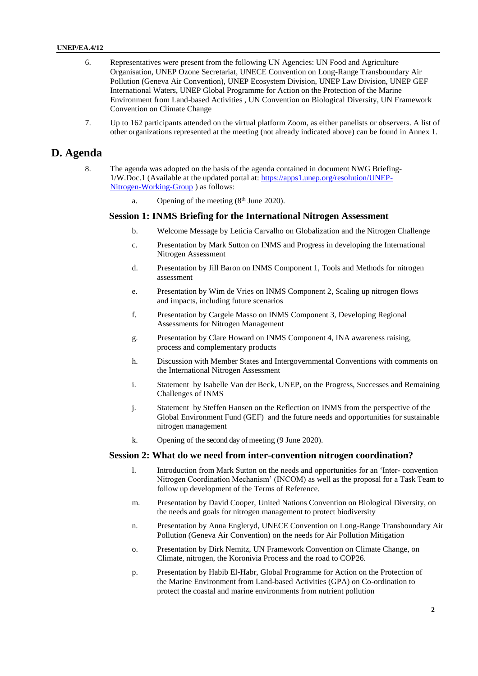- 6. Representatives were present from the following UN Agencies: UN Food and Agriculture Organisation, UNEP Ozone Secretariat, UNECE Convention on Long-Range Transboundary Air Pollution (Geneva Air Convention), UNEP Ecosystem Division, UNEP Law Division, UNEP GEF International Waters, UNEP Global Programme for Action on the Protection of the Marine Environment from Land-based Activities , UN Convention on Biological Diversity, UN Framework Convention on Climate Change
- 7. Up to 162 participants attended on the virtual platform Zoom, as either panelists or observers. A list of other organizations represented at the meeting (not already indicated above) can be found in Annex 1.

## **D. Agenda**

- 8. The agenda was adopted on the basis of the agenda contained in document NWG Briefing-1/W.Doc.1 (Available at the updated portal at: [https://apps1.unep.org/resolution/UNEP-](https://apps1.unep.org/resolution/UNEP-Nitrogen-Working-Group)[Nitrogen-Working-Group](https://apps1.unep.org/resolution/UNEP-Nitrogen-Working-Group) ) as follows:
	- a. Opening of the meeting  $(8<sup>th</sup>$  June 2020).

#### **Session 1: INMS Briefing for the International Nitrogen Assessment**

- b. Welcome Message by Leticia Carvalho on Globalization and the Nitrogen Challenge
- c. Presentation by Mark Sutton on INMS and Progress in developing the International Nitrogen Assessment
- d. Presentation by Jill Baron on INMS Component 1, Tools and Methods for nitrogen assessment
- e. Presentation by Wim de Vries on INMS Component 2, Scaling up nitrogen flows and impacts, including future scenarios
- f. Presentation by Cargele Masso on INMS Component 3, Developing Regional Assessments for Nitrogen Management
- g. Presentation by Clare Howard on INMS Component 4, INA awareness raising, process and complementary products
- h. Discussion with Member States and Intergovernmental Conventions with comments on the International Nitrogen Assessment
- i. Statement by Isabelle Van der Beck, UNEP, on the Progress, Successes and Remaining Challenges of INMS
- j. Statement by Steffen Hansen on the Reflection on INMS from the perspective of the Global Environment Fund (GEF) and the future needs and opportunities for sustainable nitrogen management
- k. Opening of the second day of meeting (9 June 2020).

#### **Session 2: What do we need from inter-convention nitrogen coordination?**

- l. Introduction from Mark Sutton on the needs and opportunities for an 'Inter- convention Nitrogen Coordination Mechanism' (INCOM) as well as the proposal for a Task Team to follow up development of the Terms of Reference.
- m. Presentation by David Cooper, United Nations Convention on Biological Diversity, on the needs and goals for nitrogen management to protect biodiversity
- n. Presentation by Anna Engleryd, UNECE Convention on Long-Range Transboundary Air Pollution (Geneva Air Convention) on the needs for Air Pollution Mitigation
- o. Presentation by Dirk Nemitz, UN Framework Convention on Climate Change, on Climate, nitrogen, the Koronivia Process and the road to COP26.
- p. Presentation by Habib El-Habr, Global Programme for Action on the Protection of the Marine Environment from Land-based Activities (GPA) on Co-ordination to protect the coastal and marine environments from nutrient pollution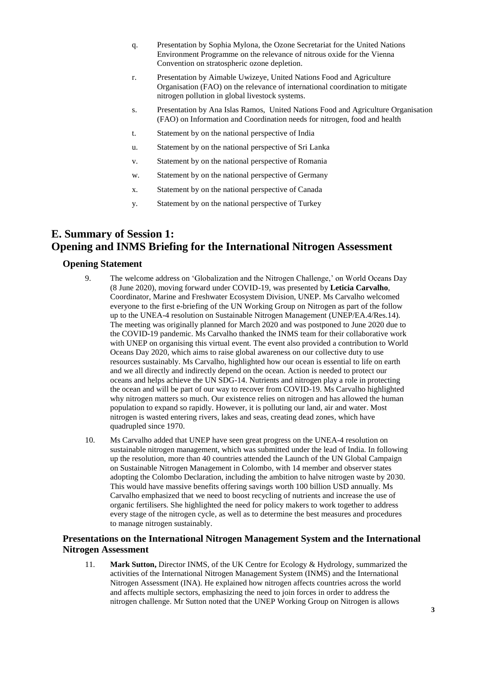- q. Presentation by Sophia Mylona, the Ozone Secretariat for the United Nations Environment Programme on the relevance of nitrous oxide for the Vienna Convention on stratospheric ozone depletion.
- r. Presentation by Aimable Uwizeye, United Nations Food and Agriculture Organisation (FAO) on the relevance of international coordination to mitigate nitrogen pollution in global livestock systems.
- s. Presentation by Ana Islas Ramos, United Nations Food and Agriculture Organisation (FAO) on Information and Coordination needs for nitrogen, food and health
- t. Statement by on the national perspective of India
- u. Statement by on the national perspective of Sri Lanka
- v. Statement by on the national perspective of Romania
- w. Statement by on the national perspective of Germany
- x. Statement by on the national perspective of Canada
- y. Statement by on the national perspective of Turkey

# **E. Summary of Session 1: Opening and INMS Briefing for the International Nitrogen Assessment**

#### **Opening Statement**

- 9. The welcome address on 'Globalization and the Nitrogen Challenge,' on World Oceans Day (8 June 2020), moving forward under COVID-19, was presented by **Leticia Carvalho**, Coordinator, Marine and Freshwater Ecosystem Division, UNEP. Ms Carvalho welcomed everyone to the first e-briefing of the UN Working Group on Nitrogen as part of the follow up to the UNEA-4 resolution on Sustainable Nitrogen Management (UNEP/EA.4/Res.14). The meeting was originally planned for March 2020 and was postponed to June 2020 due to the COVID-19 pandemic. Ms Carvalho thanked the INMS team for their collaborative work with UNEP on organising this virtual event. The event also provided a contribution to World Oceans Day 2020, which aims to raise global awareness on our collective duty to use resources sustainably. Ms Carvalho, highlighted how our ocean is essential to life on earth and we all directly and indirectly depend on the ocean. Action is needed to protect our oceans and helps achieve the UN SDG-14. Nutrients and nitrogen play a role in protecting the ocean and will be part of our way to recover from COVID-19. Ms Carvalho highlighted why nitrogen matters so much. Our existence relies on nitrogen and has allowed the human population to expand so rapidly. However, it is polluting our land, air and water. Most nitrogen is wasted entering rivers, lakes and seas, creating dead zones, which have quadrupled since 1970.
- 10. Ms Carvalho added that UNEP have seen great progress on the UNEA-4 resolution on sustainable nitrogen management, which was submitted under the lead of India. In following up the resolution, more than 40 countries attended the Launch of the UN Global Campaign on Sustainable Nitrogen Management in Colombo, with 14 member and observer states adopting the Colombo Declaration, including the ambition to halve nitrogen waste by 2030. This would have massive benefits offering savings worth 100 billion USD annually. Ms Carvalho emphasized that we need to boost recycling of nutrients and increase the use of organic fertilisers. She highlighted the need for policy makers to work together to address every stage of the nitrogen cycle, as well as to determine the best measures and procedures to manage nitrogen sustainably.

### **Presentations on the International Nitrogen Management System and the International Nitrogen Assessment**

11. **Mark Sutton,** Director INMS, of the UK Centre for Ecology & Hydrology, summarized the activities of the International Nitrogen Management System (INMS) and the International Nitrogen Assessment (INA). He explained how nitrogen affects countries across the world and affects multiple sectors, emphasizing the need to join forces in order to address the nitrogen challenge. Mr Sutton noted that the UNEP Working Group on Nitrogen is allows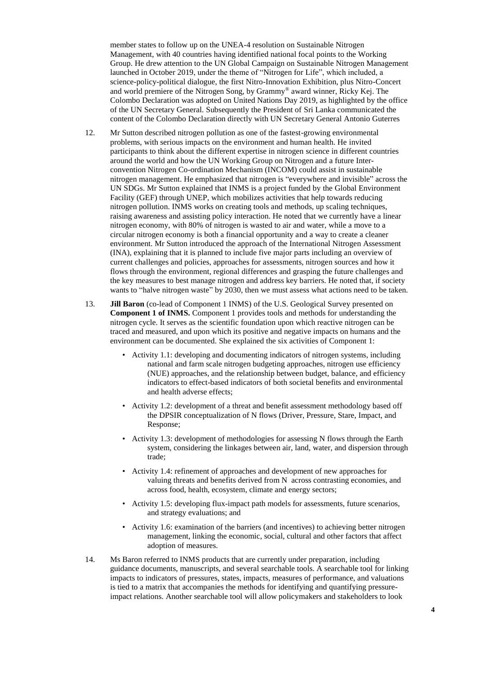member states to follow up on the UNEA-4 resolution on Sustainable Nitrogen Management, with 40 countries having identified national focal points to the Working Group. He drew attention to the UN Global Campaign on Sustainable Nitrogen Management launched in October 2019, under the theme of "Nitrogen for Life", which included, a science-policy-political dialogue, the first Nitro-Innovation Exhibition, plus Nitro-Concert and world premiere of the Nitrogen Song, by Grammy® award winner, Ricky Kej. The Colombo Declaration was adopted on United Nations Day 2019, as highlighted by the office of the UN Secretary General. Subsequently the President of Sri Lanka communicated the content of the Colombo Declaration directly with UN Secretary General Antonio Guterres

- 12. Mr Sutton described nitrogen pollution as one of the fastest-growing environmental problems, with serious impacts on the environment and human health. He invited participants to think about the different expertise in nitrogen science in different countries around the world and how the UN Working Group on Nitrogen and a future Interconvention Nitrogen Co-ordination Mechanism (INCOM) could assist in sustainable nitrogen management. He emphasized that nitrogen is "everywhere and invisible" across the UN SDGs. Mr Sutton explained that INMS is a project funded by the Global Environment Facility (GEF) through UNEP, which mobilizes activities that help towards reducing nitrogen pollution. INMS works on creating tools and methods, up scaling techniques, raising awareness and assisting policy interaction. He noted that we currently have a linear nitrogen economy, with 80% of nitrogen is wasted to air and water, while a move to a circular nitrogen economy is both a financial opportunity and a way to create a cleaner environment. Mr Sutton introduced the approach of the International Nitrogen Assessment (INA), explaining that it is planned to include five major parts including an overview of current challenges and policies, approaches for assessments, nitrogen sources and how it flows through the environment, regional differences and grasping the future challenges and the key measures to best manage nitrogen and address key barriers. He noted that, if society wants to "halve nitrogen waste" by 2030, then we must assess what actions need to be taken.
- 13. **Jill Baron** (co-lead of Component 1 INMS) of the U.S. Geological Survey presented on **Component 1 of INMS.** Component 1 provides tools and methods for understanding the nitrogen cycle. It serves as the scientific foundation upon which reactive nitrogen can be traced and measured, and upon which its positive and negative impacts on humans and the environment can be documented. She explained the six activities of Component 1:
	- Activity 1.1: developing and documenting indicators of nitrogen systems, including national and farm scale nitrogen budgeting approaches, nitrogen use efficiency (NUE) approaches, and the relationship between budget, balance, and efficiency indicators to effect-based indicators of both societal benefits and environmental and health adverse effects;
	- Activity 1.2: development of a threat and benefit assessment methodology based off the DPSIR conceptualization of N flows (Driver, Pressure, Stare, Impact, and Response;
	- Activity 1.3: development of methodologies for assessing N flows through the Earth system, considering the linkages between air, land, water, and dispersion through trade;
	- Activity 1.4: refinement of approaches and development of new approaches for valuing threats and benefits derived from N across contrasting economies, and across food, health, ecosystem, climate and energy sectors;
	- Activity 1.5: developing flux-impact path models for assessments, future scenarios, and strategy evaluations; and
	- Activity 1.6: examination of the barriers (and incentives) to achieving better nitrogen management, linking the economic, social, cultural and other factors that affect adoption of measures.
- 14. Ms Baron referred to INMS products that are currently under preparation, including guidance documents, manuscripts, and several searchable tools. A searchable tool for linking impacts to indicators of pressures, states, impacts, measures of performance, and valuations is tied to a matrix that accompanies the methods for identifying and quantifying pressureimpact relations. Another searchable tool will allow policymakers and stakeholders to look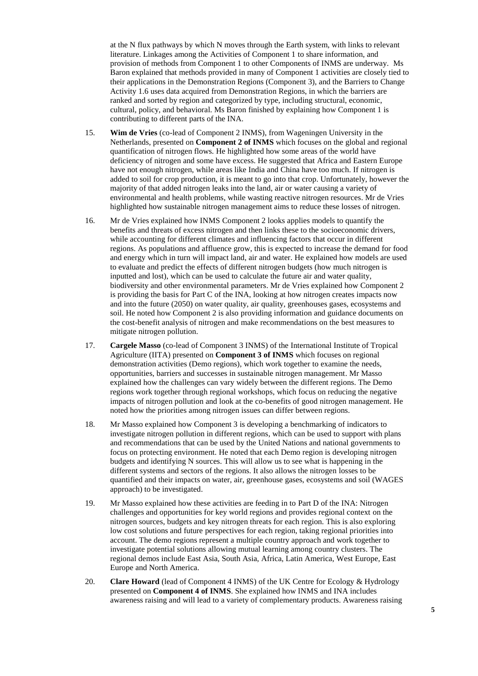at the N flux pathways by which N moves through the Earth system, with links to relevant literature. Linkages among the Activities of Component 1 to share information, and provision of methods from Component 1 to other Components of INMS are underway. Ms Baron explained that methods provided in many of Component 1 activities are closely tied to their applications in the Demonstration Regions (Component 3), and the Barriers to Change Activity 1.6 uses data acquired from Demonstration Regions, in which the barriers are ranked and sorted by region and categorized by type, including structural, economic, cultural, policy, and behavioral. Ms Baron finished by explaining how Component 1 is contributing to different parts of the INA.

- 15. **Wim de Vries** (co-lead of Component 2 INMS), from Wageningen University in the Netherlands, presented on **Component 2 of INMS** which focuses on the global and regional quantification of nitrogen flows. He highlighted how some areas of the world have deficiency of nitrogen and some have excess. He suggested that Africa and Eastern Europe have not enough nitrogen, while areas like India and China have too much. If nitrogen is added to soil for crop production, it is meant to go into that crop. Unfortunately, however the majority of that added nitrogen leaks into the land, air or water causing a variety of environmental and health problems, while wasting reactive nitrogen resources. Mr de Vries highlighted how sustainable nitrogen management aims to reduce these losses of nitrogen.
- 16. Mr de Vries explained how INMS Component 2 looks applies models to quantify the benefits and threats of excess nitrogen and then links these to the socioeconomic drivers, while accounting for different climates and influencing factors that occur in different regions. As populations and affluence grow, this is expected to increase the demand for food and energy which in turn will impact land, air and water. He explained how models are used to evaluate and predict the effects of different nitrogen budgets (how much nitrogen is inputted and lost), which can be used to calculate the future air and water quality, biodiversity and other environmental parameters. Mr de Vries explained how Component 2 is providing the basis for Part C of the INA, looking at how nitrogen creates impacts now and into the future (2050) on water quality, air quality, greenhouses gases, ecosystems and soil. He noted how Component 2 is also providing information and guidance documents on the cost-benefit analysis of nitrogen and make recommendations on the best measures to mitigate nitrogen pollution.
- 17. **Cargele Masso** (co-lead of Component 3 INMS) of the International Institute of Tropical Agriculture (IITA) presented on **Component 3 of INMS** which focuses on regional demonstration activities (Demo regions), which work together to examine the needs, opportunities, barriers and successes in sustainable nitrogen management. Mr Masso explained how the challenges can vary widely between the different regions. The Demo regions work together through regional workshops, which focus on reducing the negative impacts of nitrogen pollution and look at the co-benefits of good nitrogen management. He noted how the priorities among nitrogen issues can differ between regions.
- 18. Mr Masso explained how Component 3 is developing a benchmarking of indicators to investigate nitrogen pollution in different regions, which can be used to support with plans and recommendations that can be used by the United Nations and national governments to focus on protecting environment. He noted that each Demo region is developing nitrogen budgets and identifying N sources. This will allow us to see what is happening in the different systems and sectors of the regions. It also allows the nitrogen losses to be quantified and their impacts on water, air, greenhouse gases, ecosystems and soil (WAGES approach) to be investigated.
- 19. Mr Masso explained how these activities are feeding in to Part D of the INA: Nitrogen challenges and opportunities for key world regions and provides regional context on the nitrogen sources, budgets and key nitrogen threats for each region. This is also exploring low cost solutions and future perspectives for each region, taking regional priorities into account. The demo regions represent a multiple country approach and work together to investigate potential solutions allowing mutual learning among country clusters. The regional demos include East Asia, South Asia, Africa, Latin America, West Europe, East Europe and North America.
- 20. **Clare Howard** (lead of Component 4 INMS) of the UK Centre for Ecology & Hydrology presented on **Component 4 of INMS**. She explained how INMS and INA includes awareness raising and will lead to a variety of complementary products. Awareness raising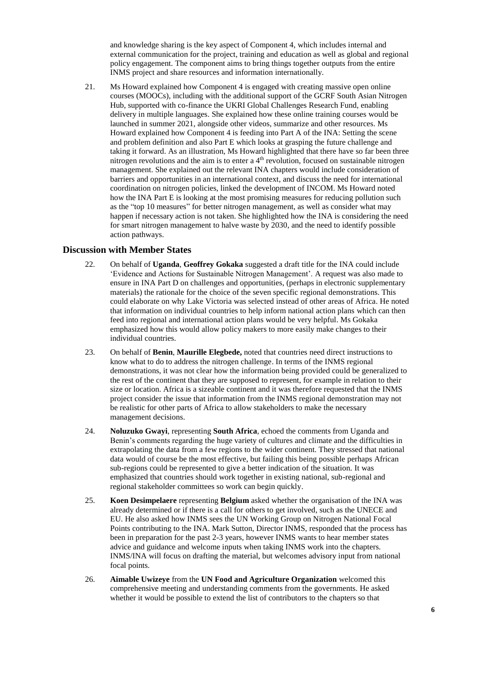and knowledge sharing is the key aspect of Component 4, which includes internal and external communication for the project, training and education as well as global and regional policy engagement. The component aims to bring things together outputs from the entire INMS project and share resources and information internationally.

21. Ms Howard explained how Component 4 is engaged with creating massive open online courses (MOOCs), including with the additional support of the GCRF South Asian Nitrogen Hub, supported with co-finance the UKRI Global Challenges Research Fund, enabling delivery in multiple languages. She explained how these online training courses would be launched in summer 2021, alongside other videos, summarize and other resources. Ms Howard explained how Component 4 is feeding into Part A of the INA: Setting the scene and problem definition and also Part E which looks at grasping the future challenge and taking it forward. As an illustration, Ms Howard highlighted that there have so far been three nitrogen revolutions and the aim is to enter a 4<sup>th</sup> revolution, focused on sustainable nitrogen management. She explained out the relevant INA chapters would include consideration of barriers and opportunities in an international context, and discuss the need for international coordination on nitrogen policies, linked the development of INCOM. Ms Howard noted how the INA Part E is looking at the most promising measures for reducing pollution such as the "top 10 measures" for better nitrogen management, as well as consider what may happen if necessary action is not taken. She highlighted how the INA is considering the need for smart nitrogen management to halve waste by 2030, and the need to identify possible action pathways.

### **Discussion with Member States**

- 22. On behalf of **Uganda**, **Geoffrey Gokaka** suggested a draft title for the INA could include 'Evidence and Actions for Sustainable Nitrogen Management'. A request was also made to ensure in INA Part D on challenges and opportunities, (perhaps in electronic supplementary materials) the rationale for the choice of the seven specific regional demonstrations. This could elaborate on why Lake Victoria was selected instead of other areas of Africa. He noted that information on individual countries to help inform national action plans which can then feed into regional and international action plans would be very helpful. Ms Gokaka emphasized how this would allow policy makers to more easily make changes to their individual countries.
- 23. On behalf of **Benin**, **Maurille Elegbede,** noted that countries need direct instructions to know what to do to address the nitrogen challenge. In terms of the INMS regional demonstrations, it was not clear how the information being provided could be generalized to the rest of the continent that they are supposed to represent, for example in relation to their size or location. Africa is a sizeable continent and it was therefore requested that the INMS project consider the issue that information from the INMS regional demonstration may not be realistic for other parts of Africa to allow stakeholders to make the necessary management decisions.
- 24. **Noluzuko Gwayi**, representing **South Africa**, echoed the comments from Uganda and Benin's comments regarding the huge variety of cultures and climate and the difficulties in extrapolating the data from a few regions to the wider continent. They stressed that national data would of course be the most effective, but failing this being possible perhaps African sub-regions could be represented to give a better indication of the situation. It was emphasized that countries should work together in existing national, sub-regional and regional stakeholder committees so work can begin quickly.
- 25. **Koen Desimpelaere** representing **Belgium** asked whether the organisation of the INA was already determined or if there is a call for others to get involved, such as the UNECE and EU. He also asked how INMS sees the UN Working Group on Nitrogen National Focal Points contributing to the INA. Mark Sutton, Director INMS, responded that the process has been in preparation for the past 2-3 years, however INMS wants to hear member states advice and guidance and welcome inputs when taking INMS work into the chapters. INMS/INA will focus on drafting the material, but welcomes advisory input from national focal points.
- 26. **Aimable Uwizeye** from the **UN Food and Agriculture Organization** welcomed this comprehensive meeting and understanding comments from the governments. He asked whether it would be possible to extend the list of contributors to the chapters so that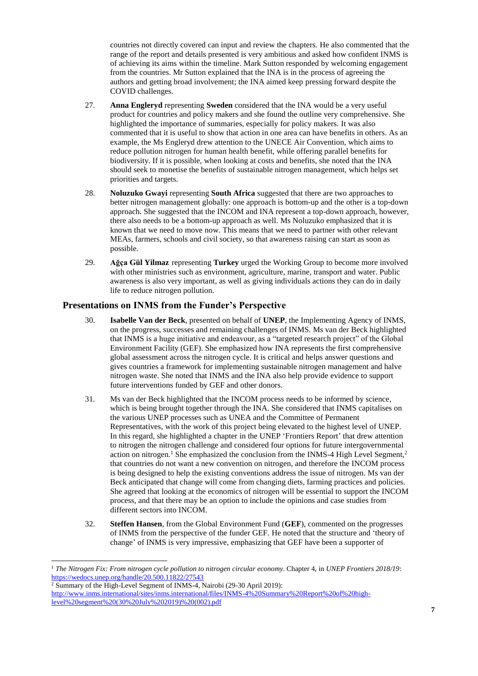countries not directly covered can input and review the chapters. He also commented that the range of the report and details presented is very ambitious and asked how confident INMS is of achieving its aims within the timeline. Mark Sutton responded by welcoming engagement from the countries. Mr Sutton explained that the INA is in the process of agreeing the authors and getting broad involvement; the INA aimed keep pressing forward despite the COVID challenges.

- 27. **Anna Engleryd** representing **Sweden** considered that the INA would be a very useful product for countries and policy makers and she found the outline very comprehensive. She highlighted the importance of summaries, especially for policy makers. It was also commented that it is useful to show that action in one area can have benefits in others. As an example, the Ms Engleryd drew attention to the UNECE Air Convention, which aims to reduce pollution nitrogen for human health benefit, while offering parallel benefits for biodiversity. If it is possible, when looking at costs and benefits, she noted that the INA should seek to monetise the benefits of sustainable nitrogen management, which helps set priorities and targets.
- 28. **Noluzuko Gwayi** representing **South Africa** suggested that there are two approaches to better nitrogen management globally: one approach is bottom-up and the other is a top-down approach. She suggested that the INCOM and INA represent a top-down approach, however, there also needs to be a bottom-up approach as well. Ms Noluzuko emphasized that it is known that we need to move now. This means that we need to partner with other relevant MEAs, farmers, schools and civil society, so that awareness raising can start as soon as possible.
- 29. **Ağça Gül Yilmaz** representing **Turkey** urged the Working Group to become more involved with other ministries such as environment, agriculture, marine, transport and water. Public awareness is also very important, as well as giving individuals actions they can do in daily life to reduce nitrogen pollution.

# **Presentations on INMS from the Funder's Perspective**

- 30. **Isabelle Van der Beck**, presented on behalf of **UNEP**, the Implementing Agency of INMS, on the progress, successes and remaining challenges of INMS. Ms van der Beck highlighted that INMS is a huge initiative and endeavour, as a "targeted research project" of the Global Environment Facility (GEF). She emphasized how INA represents the first comprehensive global assessment across the nitrogen cycle. It is critical and helps answer questions and gives countries a framework for implementing sustainable nitrogen management and halve nitrogen waste. She noted that INMS and the INA also help provide evidence to support future interventions funded by GEF and other donors.
- 31. Ms van der Beck highlighted that the INCOM process needs to be informed by science, which is being brought together through the INA. She considered that INMS capitalises on the various UNEP processes such as UNEA and the Committee of Permanent Representatives, with the work of this project being elevated to the highest level of UNEP. In this regard, she highlighted a chapter in the UNEP 'Frontiers Report' that drew attention to nitrogen the nitrogen challenge and considered four options for future intergovernmental action on nitrogen.<sup>1</sup> She emphasized the conclusion from the INMS-4 High Level Segment,<sup>2</sup> that countries do not want a new convention on nitrogen, and therefore the INCOM process is being designed to help the existing conventions address the issue of nitrogen. Ms van der Beck anticipated that change will come from changing diets, farming practices and policies. She agreed that looking at the economics of nitrogen will be essential to support the INCOM process, and that there may be an option to include the opinions and case studies from different sectors into INCOM.
- 32. **Steffen Hansen**, from the Global Environment Fund (**GEF**), commented on the progresses of INMS from the perspective of the funder GEF. He noted that the structure and 'theory of change' of INMS is very impressive, emphasizing that GEF have been a supporter of

<sup>1</sup> *The Nitrogen Fix: From nitrogen cycle pollution to nitrogen circular economy*. Chapter 4, in *UNEP Frontiers 2018/19*: <https://wedocs.unep.org/handle/20.500.11822/27543>

<sup>2</sup> Summary of the High-Level Segment of INMS-4, Nairobi (29-30 April 2019):

[http://www.inms.international/sites/inms.international/files/INMS-4%20Summary%20Report%20of%20high](http://www.inms.international/sites/inms.international/files/INMS-4%20Summary%20Report%20of%20high-level%20segment%20(30%20July%202019)%20(002).pdf)[level%20segment%20\(30%20July%202019\)%20\(002\).pdf](http://www.inms.international/sites/inms.international/files/INMS-4%20Summary%20Report%20of%20high-level%20segment%20(30%20July%202019)%20(002).pdf)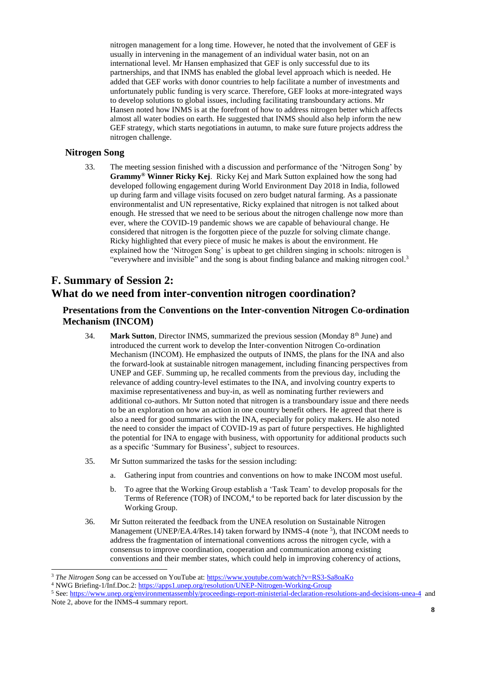nitrogen management for a long time. However, he noted that the involvement of GEF is usually in intervening in the management of an individual water basin, not on an international level. Mr Hansen emphasized that GEF is only successful due to its partnerships, and that INMS has enabled the global level approach which is needed. He added that GEF works with donor countries to help facilitate a number of investments and unfortunately public funding is very scarce. Therefore, GEF looks at more-integrated ways to develop solutions to global issues, including facilitating transboundary actions. Mr Hansen noted how INMS is at the forefront of how to address nitrogen better which affects almost all water bodies on earth. He suggested that INMS should also help inform the new GEF strategy, which starts negotiations in autumn, to make sure future projects address the nitrogen challenge.

### **Nitrogen Song**

-

33. The meeting session finished with a discussion and performance of the 'Nitrogen Song' by **Grammy® Winner Ricky Kej**. Ricky Kej and Mark Sutton explained how the song had developed following engagement during World Environment Day 2018 in India, followed up during farm and village visits focused on zero budget natural farming. As a passionate environmentalist and UN representative, Ricky explained that nitrogen is not talked about enough. He stressed that we need to be serious about the nitrogen challenge now more than ever, where the COVID-19 pandemic shows we are capable of behavioural change. He considered that nitrogen is the forgotten piece of the puzzle for solving climate change. Ricky highlighted that every piece of music he makes is about the environment. He explained how the 'Nitrogen Song' is upbeat to get children singing in schools: nitrogen is "everywhere and invisible" and the song is about finding balance and making nitrogen cool.<sup>3</sup>

# **F. Summary of Session 2: What do we need from inter-convention nitrogen coordination?**

### **Presentations from the Conventions on the Inter-convention Nitrogen Co-ordination Mechanism (INCOM)**

- 34. **Mark Sutton**, Director INMS, summarized the previous session (Monday 8<sup>th</sup> June) and introduced the current work to develop the Inter-convention Nitrogen Co-ordination Mechanism (INCOM). He emphasized the outputs of INMS, the plans for the INA and also the forward-look at sustainable nitrogen management, including financing perspectives from UNEP and GEF. Summing up, he recalled comments from the previous day, including the relevance of adding country-level estimates to the INA, and involving country experts to maximise representativeness and buy-in, as well as nominating further reviewers and additional co-authors. Mr Sutton noted that nitrogen is a transboundary issue and there needs to be an exploration on how an action in one country benefit others. He agreed that there is also a need for good summaries with the INA, especially for policy makers. He also noted the need to consider the impact of COVID-19 as part of future perspectives. He highlighted the potential for INA to engage with business, with opportunity for additional products such as a specific 'Summary for Business', subject to resources.
- 35. Mr Sutton summarized the tasks for the session including:
	- a. Gathering input from countries and conventions on how to make INCOM most useful.
	- b. To agree that the Working Group establish a 'Task Team' to develop proposals for the Terms of Reference (TOR) of INCOM,<sup>4</sup> to be reported back for later discussion by the Working Group.
- 36. Mr Sutton reiterated the feedback from the UNEA resolution on Sustainable Nitrogen Management (UNEP/EA.4/Res.14) taken forward by INMS-4 (note <sup>5</sup>), that INCOM needs to address the fragmentation of international conventions across the nitrogen cycle, with a consensus to improve coordination, cooperation and communication among existing conventions and their member states, which could help in improving coherency of actions,

<sup>3</sup> *The Nitrogen Song* can be accessed on YouTube at: <https://www.youtube.com/watch?v=RS3-Sa8oaKo>

<sup>&</sup>lt;sup>4</sup> NWG Briefing-1/Inf.Doc.2[: https://apps1.unep.org/resolution/UNEP-Nitrogen-Working-Group](https://apps1.unep.org/resolution/UNEP-Nitrogen-Working-Group)

<sup>5</sup> See:<https://www.unep.org/environmentassembly/proceedings-report-ministerial-declaration-resolutions-and-decisions-unea-4>and Note 2, above for the INMS-4 summary report.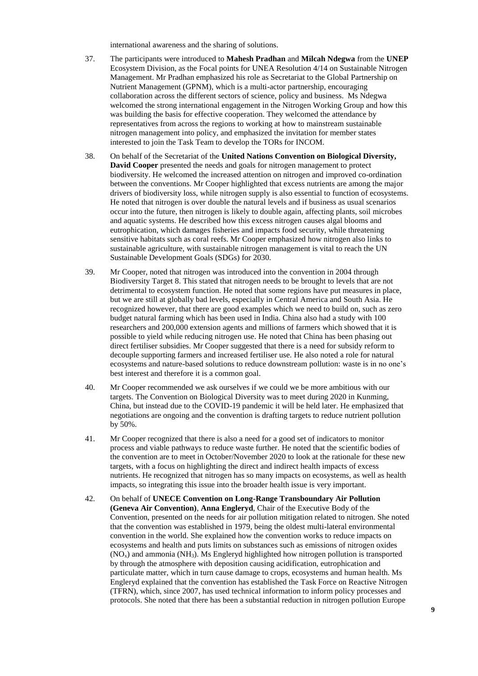international awareness and the sharing of solutions.

- 37. The participants were introduced to **Mahesh Pradhan** and **Milcah Ndegwa** from the **UNEP** Ecosystem Division, as the Focal points for UNEA Resolution 4/14 on Sustainable Nitrogen Management. Mr Pradhan emphasized his role as Secretariat to the Global Partnership on Nutrient Management (GPNM), which is a multi-actor partnership, encouraging collaboration across the different sectors of science, policy and business. Ms Ndegwa welcomed the strong international engagement in the Nitrogen Working Group and how this was building the basis for effective cooperation. They welcomed the attendance by representatives from across the regions to working at how to mainstream sustainable nitrogen management into policy, and emphasized the invitation for member states interested to join the Task Team to develop the TORs for INCOM.
- 38. On behalf of the Secretariat of the **United Nations Convention on Biological Diversity, David Cooper** presented the needs and goals for nitrogen management to protect biodiversity. He welcomed the increased attention on nitrogen and improved co-ordination between the conventions. Mr Cooper highlighted that excess nutrients are among the major drivers of biodiversity loss, while nitrogen supply is also essential to function of ecosystems. He noted that nitrogen is over double the natural levels and if business as usual scenarios occur into the future, then nitrogen is likely to double again, affecting plants, soil microbes and aquatic systems. He described how this excess nitrogen causes algal blooms and eutrophication, which damages fisheries and impacts food security, while threatening sensitive habitats such as coral reefs. Mr Cooper emphasized how nitrogen also links to sustainable agriculture, with sustainable nitrogen management is vital to reach the UN Sustainable Development Goals (SDGs) for 2030.
- 39. Mr Cooper, noted that nitrogen was introduced into the convention in 2004 through Biodiversity Target 8. This stated that nitrogen needs to be brought to levels that are not detrimental to ecosystem function. He noted that some regions have put measures in place, but we are still at globally bad levels, especially in Central America and South Asia. He recognized however, that there are good examples which we need to build on, such as zero budget natural farming which has been used in India. China also had a study with 100 researchers and 200,000 extension agents and millions of farmers which showed that it is possible to yield while reducing nitrogen use. He noted that China has been phasing out direct fertiliser subsidies. Mr Cooper suggested that there is a need for subsidy reform to decouple supporting farmers and increased fertiliser use. He also noted a role for natural ecosystems and nature-based solutions to reduce downstream pollution: waste is in no one's best interest and therefore it is a common goal.
- 40. Mr Cooper recommended we ask ourselves if we could we be more ambitious with our targets. The Convention on Biological Diversity was to meet during 2020 in Kunming, China, but instead due to the COVID-19 pandemic it will be held later. He emphasized that negotiations are ongoing and the convention is drafting targets to reduce nutrient pollution by 50%.
- 41. Mr Cooper recognized that there is also a need for a good set of indicators to monitor process and viable pathways to reduce waste further. He noted that the scientific bodies of the convention are to meet in October/November 2020 to look at the rationale for these new targets, with a focus on highlighting the direct and indirect health impacts of excess nutrients. He recognized that nitrogen has so many impacts on ecosystems, as well as health impacts, so integrating this issue into the broader health issue is very important.
- 42. On behalf of **UNECE Convention on Long-Range Transboundary Air Pollution (Geneva Air Convention)**, **Anna Engleryd**, Chair of the Executive Body of the Convention, presented on the needs for air pollution mitigation related to nitrogen. She noted that the convention was established in 1979, being the oldest multi-lateral environmental convention in the world. She explained how the convention works to reduce impacts on ecosystems and health and puts limits on substances such as emissions of nitrogen oxides  $(NO<sub>x</sub>)$  and ammonia  $(NH<sub>3</sub>)$ . Ms Engleryd highlighted how nitrogen pollution is transported by through the atmosphere with deposition causing acidification, eutrophication and particulate matter, which in turn cause damage to crops, ecosystems and human health. Ms Engleryd explained that the convention has established the Task Force on Reactive Nitrogen (TFRN), which, since 2007, has used technical information to inform policy processes and protocols. She noted that there has been a substantial reduction in nitrogen pollution Europe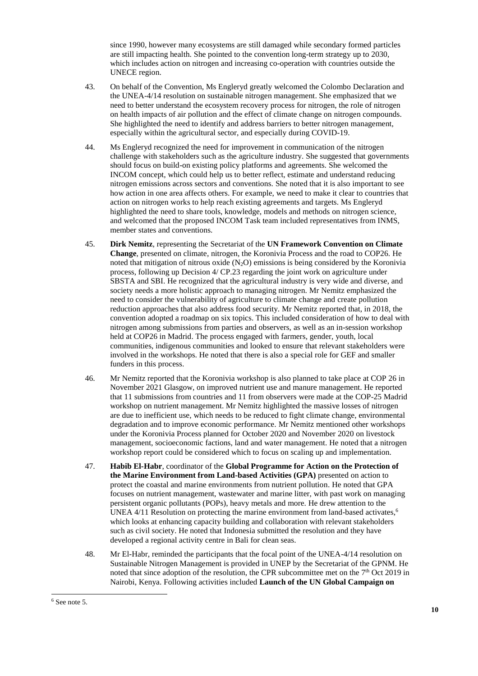since 1990, however many ecosystems are still damaged while secondary formed particles are still impacting health. She pointed to the convention long-term strategy up to 2030, which includes action on nitrogen and increasing co-operation with countries outside the UNECE region.

- 43. On behalf of the Convention, Ms Engleryd greatly welcomed the Colombo Declaration and the UNEA-4/14 resolution on sustainable nitrogen management. She emphasized that we need to better understand the ecosystem recovery process for nitrogen, the role of nitrogen on health impacts of air pollution and the effect of climate change on nitrogen compounds. She highlighted the need to identify and address barriers to better nitrogen management, especially within the agricultural sector, and especially during COVID-19.
- 44. Ms Engleryd recognized the need for improvement in communication of the nitrogen challenge with stakeholders such as the agriculture industry. She suggested that governments should focus on build-on existing policy platforms and agreements. She welcomed the INCOM concept, which could help us to better reflect, estimate and understand reducing nitrogen emissions across sectors and conventions. She noted that it is also important to see how action in one area affects others. For example, we need to make it clear to countries that action on nitrogen works to help reach existing agreements and targets. Ms Engleryd highlighted the need to share tools, knowledge, models and methods on nitrogen science, and welcomed that the proposed INCOM Task team included representatives from INMS, member states and conventions.
- 45. **Dirk Nemitz**, representing the Secretariat of the **UN Framework Convention on Climate Change**, presented on climate, nitrogen, the Koronivia Process and the road to COP26. He noted that mitigation of nitrous oxide  $(N_2O)$  emissions is being considered by the Koronivia process, following up Decision 4/ CP.23 regarding the joint work on agriculture under SBSTA and SBI. He recognized that the agricultural industry is very wide and diverse, and society needs a more holistic approach to managing nitrogen. Mr Nemitz emphasized the need to consider the vulnerability of agriculture to climate change and create pollution reduction approaches that also address food security. Mr Nemitz reported that, in 2018, the convention adopted a roadmap on six topics. This included consideration of how to deal with nitrogen among submissions from parties and observers, as well as an in-session workshop held at COP26 in Madrid. The process engaged with farmers, gender, youth, local communities, indigenous communities and looked to ensure that relevant stakeholders were involved in the workshops. He noted that there is also a special role for GEF and smaller funders in this process.
- 46. Mr Nemitz reported that the Koronivia workshop is also planned to take place at COP 26 in November 2021 Glasgow, on improved nutrient use and manure management. He reported that 11 submissions from countries and 11 from observers were made at the COP-25 Madrid workshop on nutrient management. Mr Nemitz highlighted the massive losses of nitrogen are due to inefficient use, which needs to be reduced to fight climate change, environmental degradation and to improve economic performance. Mr Nemitz mentioned other workshops under the Koronivia Process planned for October 2020 and November 2020 on livestock management, socioeconomic factions, land and water management. He noted that a nitrogen workshop report could be considered which to focus on scaling up and implementation.
- 47. **Habib El-Habr**, coordinator of the **Global Programme for Action on the Protection of the Marine Environment from Land-based Activities (GPA)** presented on action to protect the coastal and marine environments from nutrient pollution. He noted that GPA focuses on nutrient management, wastewater and marine litter, with past work on managing persistent organic pollutants (POPs), heavy metals and more. He drew attention to the UNEA 4/11 Resolution on protecting the marine environment from land-based activates,<sup>6</sup> which looks at enhancing capacity building and collaboration with relevant stakeholders such as civil society. He noted that Indonesia submitted the resolution and they have developed a regional activity centre in Bali for clean seas.
- 48. Mr El-Habr, reminded the participants that the focal point of the UNEA-4/14 resolution on Sustainable Nitrogen Management is provided in UNEP by the Secretariat of the GPNM. He noted that since adoption of the resolution, the CPR subcommittee met on the  $7<sup>th</sup>$  Oct 2019 in Nairobi, Kenya. Following activities included **Launch of the UN Global Campaign on**

<sup>6</sup> See note 5.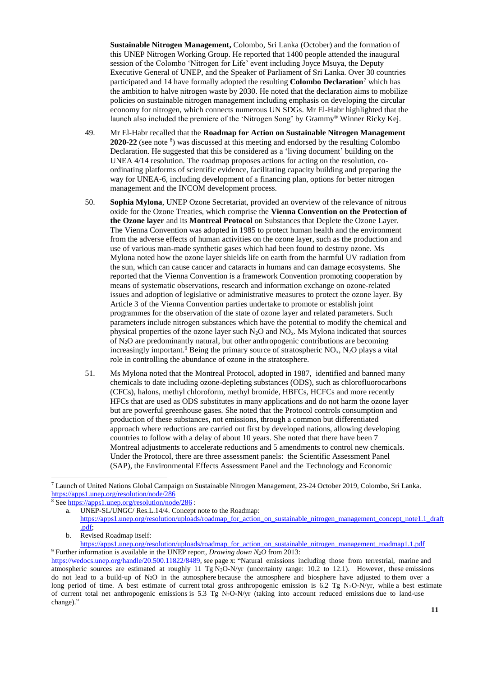**Sustainable Nitrogen Management,** Colombo, Sri Lanka (October) and the formation of this UNEP Nitrogen Working Group. He reported that 1400 people attended the inaugural session of the Colombo 'Nitrogen for Life' event including Joyce Msuya, the Deputy Executive General of UNEP, and the Speaker of Parliament of Sri Lanka. Over 30 countries participated and 14 have formally adopted the resulting **Colombo Declaration**<sup>7</sup> which has the ambition to halve nitrogen waste by 2030. He noted that the declaration aims to mobilize policies on sustainable nitrogen management including emphasis on developing the circular economy for nitrogen, which connects numerous UN SDGs. Mr El-Habr highlighted that the launch also included the premiere of the 'Nitrogen Song' by Grammy® Winner Ricky Kej.

- 49. Mr El-Habr recalled that the **Roadmap for Action on Sustainable Nitrogen Management** 2020-22 (see note <sup>8</sup>) was discussed at this meeting and endorsed by the resulting Colombo Declaration. He suggested that this be considered as a 'living document' building on the UNEA 4/14 resolution. The roadmap proposes actions for acting on the resolution, coordinating platforms of scientific evidence, facilitating capacity building and preparing the way for UNEA-6, including development of a financing plan, options for better nitrogen management and the INCOM development process.
- 50. **Sophia Mylona**, UNEP Ozone Secretariat, provided an overview of the relevance of nitrous oxide for the Ozone Treaties, which comprise the **Vienna Convention on the Protection of the Ozone layer** and its **Montreal Protocol** on Substances that Deplete the Ozone Layer. The Vienna Convention was adopted in 1985 to protect human health and the environment from the adverse effects of human activities on the ozone layer, such as the production and use of various man-made synthetic gases which had been found to destroy ozone. Ms Mylona noted how the ozone layer shields life on earth from the harmful UV radiation from the sun, which can cause cancer and cataracts in humans and can damage ecosystems. She reported that the Vienna Convention is a framework Convention promoting cooperation by means of systematic observations, research and information exchange on ozone-related issues and adoption of legislative or administrative measures to protect the ozone layer. By Article 3 of the Vienna Convention parties undertake to promote or establish joint programmes for the observation of the state of ozone layer and related parameters. Such parameters include nitrogen substances which have the potential to modify the chemical and physical properties of the ozone layer such  $N_2O$  and  $N_3N_3$ . Ms Mylona indicated that sources of N2O are predominantly natural, but other anthropogenic contributions are becoming increasingly important.<sup>9</sup> Being the primary source of stratospheric  $NO<sub>x</sub>$ ,  $N<sub>2</sub>O$  plays a vital role in controlling the abundance of ozone in the stratosphere.
- 51. Ms Mylona noted that the Montreal Protocol, adopted in 1987, identified and banned many chemicals to date including ozone-depleting substances (ODS), such as chlorofluorocarbons (CFCs), halons, methyl chloroform, methyl bromide, HBFCs, HCFCs and more recently HFCs that are used as ODS substitutes in many applications and do not harm the ozone layer but are powerful greenhouse gases. She noted that the Protocol controls consumption and production of these substances, not emissions, through a common but differentiated approach where reductions are carried out first by developed nations, allowing developing countries to follow with a delay of about 10 years. She noted that there have been 7 Montreal adjustments to accelerate reductions and 5 amendments to control new chemicals. Under the Protocol, there are three assessment panels: the Scientific Assessment Panel (SAP), the Environmental Effects Assessment Panel and the Technology and Economic

<sup>7</sup> Launch of United Nations Global Campaign on Sustainable Nitrogen Management, 23-24 October 2019, Colombo, Sri Lanka. <https://apps1.unep.org/resolution/node/286>

<sup>8</sup> Se[e https://apps1.unep.org/resolution/node/286](https://apps1.unep.org/resolution/node/286) :

a. UNEP-SL/UNGC/ Res.L.14/4. Concept note to the Roadmap:

[https://apps1.unep.org/resolution/uploads/roadmap\\_for\\_action\\_on\\_sustainable\\_nitrogen\\_management\\_concept\\_note1.1\\_draft](https://apps1.unep.org/resolution/uploads/roadmap_for_action_on_sustainable_nitrogen_management_concept_note1.1_draft.pdf) [.pdf;](https://apps1.unep.org/resolution/uploads/roadmap_for_action_on_sustainable_nitrogen_management_concept_note1.1_draft.pdf)

b. Revised Roadmap itself:

[https://apps1.unep.org/resolution/uploads/roadmap\\_for\\_action\\_on\\_sustainable\\_nitrogen\\_management\\_roadmap1.1.pdf](https://apps1.unep.org/resolution/uploads/roadmap_for_action_on_sustainable_nitrogen_management_roadmap1.1.pdf) <sup>9</sup> Further information is available in the UNEP report, *Drawing down N2O* from 2013:

[https://wedocs.unep.org/handle/20.500.11822/8489,](https://wedocs.unep.org/handle/20.500.11822/8489) see page x: "Natural emissions including those from terrestrial, marine and atmospheric sources are estimated at roughly 11 Tg N<sub>2</sub>O-N/yr (uncertainty range: 10.2 to 12.1). However, these emissions do not lead to a build-up of N2O in the atmosphere because the atmosphere and biosphere have adjusted to them over a long period of time. A best estimate of current total gross anthropogenic emission is 6.2 Tg N<sub>2</sub>O-N/yr, while a best estimate of current total net anthropogenic emissions is 5.3 Tg N<sub>2</sub>O-N/yr (taking into account reduced emissions due to land-use change)."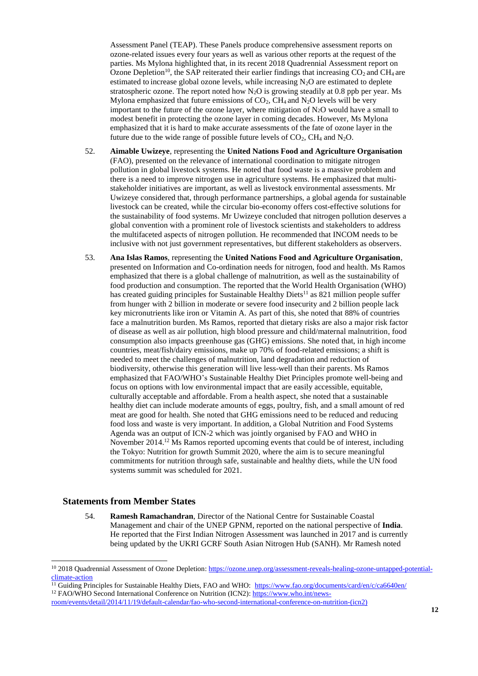Assessment Panel (TEAP). These Panels produce comprehensive assessment reports on ozone-related issues every four years as well as various other reports at the request of the parties. Ms Mylona highlighted that, in its recent 2018 Quadrennial Assessment report on Ozone Depletion<sup>10</sup>, the SAP reiterated their earlier findings that increasing  $CO_2$  and CH<sub>4</sub> are estimated to increase global ozone levels, while increasing N2O are estimated to deplete stratospheric ozone. The report noted how  $N_2O$  is growing steadily at 0.8 ppb per year. Ms Mylona emphasized that future emissions of  $CO<sub>2</sub>$ , CH<sub>4</sub> and N<sub>2</sub>O levels will be very important to the future of the ozone layer, where mitigation of  $N_2O$  would have a small to modest benefit in protecting the ozone layer in coming decades. However, Ms Mylona emphasized that it is hard to make accurate assessments of the fate of ozone layer in the future due to the wide range of possible future levels of  $CO<sub>2</sub>$ , CH<sub>4</sub> and N<sub>2</sub>O.

- 52. **Aimable Uwizeye**, representing the **United Nations Food and Agriculture Organisation** (FAO), presented on the relevance of international coordination to mitigate nitrogen pollution in global livestock systems. He noted that food waste is a massive problem and there is a need to improve nitrogen use in agriculture systems. He emphasized that multistakeholder initiatives are important, as well as livestock environmental assessments. Mr Uwizeye considered that, through performance partnerships, a global agenda for sustainable livestock can be created, while the circular bio-economy offers cost-effective solutions for the sustainability of food systems. Mr Uwizeye concluded that nitrogen pollution deserves a global convention with a prominent role of livestock scientists and stakeholders to address the multifaceted aspects of nitrogen pollution. He recommended that INCOM needs to be inclusive with not just government representatives, but different stakeholders as observers.
- 53. **Ana Islas Ramos**, representing the **United Nations Food and Agriculture Organisation**, presented on Information and Co-ordination needs for nitrogen, food and health. Ms Ramos emphasized that there is a global challenge of malnutrition, as well as the sustainability of food production and consumption. The reported that the World Health Organisation (WHO) has created guiding principles for Sustainable Healthy Diets<sup>11</sup> as 821 million people suffer from hunger with 2 billion in moderate or severe food insecurity and 2 billion people lack key micronutrients like iron or Vitamin A. As part of this, she noted that 88% of countries face a malnutrition burden. Ms Ramos, reported that dietary risks are also a major risk factor of disease as well as air pollution, high blood pressure and child/maternal malnutrition, food consumption also impacts greenhouse gas (GHG) emissions. She noted that, in high income countries, meat/fish/dairy emissions, make up 70% of food-related emissions; a shift is needed to meet the challenges of malnutrition, land degradation and reduction of biodiversity, otherwise this generation will live less-well than their parents. Ms Ramos emphasized that FAO/WHO's Sustainable Healthy Diet Principles promote well-being and focus on options with low environmental impact that are easily accessible, equitable, culturally acceptable and affordable. From a health aspect, she noted that a sustainable healthy diet can include moderate amounts of eggs, poultry, fish, and a small amount of red meat are good for health. She noted that GHG emissions need to be reduced and reducing food loss and waste is very important. In addition, a Global Nutrition and Food Systems Agenda was an output of ICN-2 which was jointly organised by FAO and WHO in November 2014.<sup>12</sup> Ms Ramos reported upcoming events that could be of interest, including the Tokyo: Nutrition for growth Summit 2020, where the aim is to secure meaningful commitments for nutrition through safe, sustainable and healthy diets, while the UN food systems summit was scheduled for 2021.

### **Statements from Member States**

l

54. **Ramesh Ramachandran**, Director of the National Centre for Sustainable Coastal Management and chair of the UNEP GPNM, reported on the national perspective of **India**. He reported that the First Indian Nitrogen Assessment was launched in 2017 and is currently being updated by the UKRI GCRF South Asian Nitrogen Hub (SANH). Mr Ramesh noted

<sup>&</sup>lt;sup>10</sup> 2018 Quadrennial Assessment of Ozone Depletion[: https://ozone.unep.org/assessment-reveals-healing-ozone-untapped-potential](https://ozone.unep.org/assessment-reveals-healing-ozone-untapped-potential-climate-action)[climate-action](https://ozone.unep.org/assessment-reveals-healing-ozone-untapped-potential-climate-action)

<sup>&</sup>lt;sup>11</sup> Guiding Principles for Sustainable Healthy Diets, FAO and WHO: <https://www.fao.org/documents/card/en/c/ca6640en/> <sup>12</sup> FAO/WHO Second International Conference on Nutrition (ICN2): [https://www.who.int/news-](https://www.who.int/news-room/events/detail/2014/11/19/default-calendar/fao-who-second-international-conference-on-nutrition-(icn2))

[room/events/detail/2014/11/19/default-calendar/fao-who-second-international-conference-on-nutrition-\(icn2\)](https://www.who.int/news-room/events/detail/2014/11/19/default-calendar/fao-who-second-international-conference-on-nutrition-(icn2))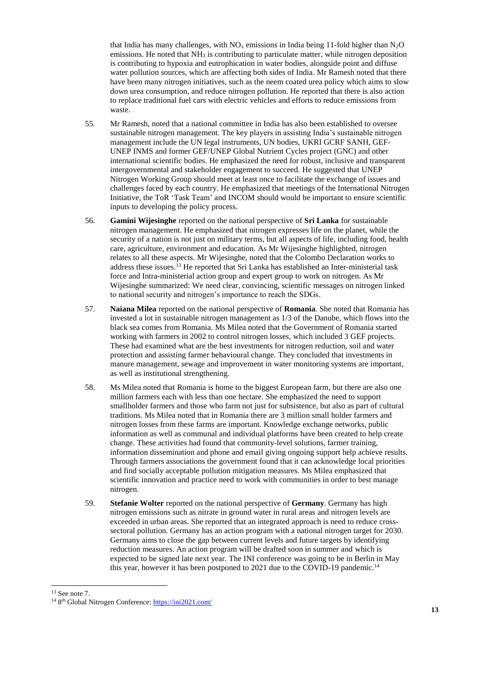that India has many challenges, with  $NO<sub>x</sub>$  emissions in India being 11-fold higher than  $N<sub>2</sub>O$ emissions. He noted that  $NH_3$  is contributing to particulate matter, while nitrogen deposition is contributing to hypoxia and eutrophication in water bodies, alongside point and diffuse water pollution sources, which are affecting both sides of India. Mr Ramesh noted that there have been many nitrogen initiatives, such as the neem coated urea policy which aims to slow down urea consumption, and reduce nitrogen pollution. He reported that there is also action to replace traditional fuel cars with electric vehicles and efforts to reduce emissions from waste.

- 55. Mr Ramesh, noted that a national committee in India has also been established to oversee sustainable nitrogen management. The key players in assisting India's sustainable nitrogen management include the UN legal instruments, UN bodies, UKRI GCRF SANH, GEF-UNEP INMS and former GEF/UNEP Global Nutrient Cycles project (GNC) and other international scientific bodies. He emphasized the need for robust, inclusive and transparent intergovernmental and stakeholder engagement to succeed. He suggested that UNEP Nitrogen Working Group should meet at least once to facilitate the exchange of issues and challenges faced by each country. He emphasized that meetings of the International Nitrogen Initiative, the ToR 'Task Team' and INCOM should would be important to ensure scientific inputs to developing the policy process.
- 56. **Gamini Wijesinghe** reported on the national perspective of **Sri Lanka** for sustainable nitrogen management. He emphasized that nitrogen expresses life on the planet, while the security of a nation is not just on military terms, but all aspects of life, including food, health care, agriculture, environment and education. As Mr Wijesinghe highlighted, nitrogen relates to all these aspects. Mr Wijesinghe, noted that the Colombo Declaration works to address these issues.<sup>13</sup> He reported that Sri Lanka has established an Inter-ministerial task force and Intra-ministerial action group and expert group to work on nitrogen. As Mr Wijesinghe summarized: We need clear, convincing, scientific messages on nitrogen linked to national security and nitrogen's importance to reach the SDGs.
- 57. **Naiana Milea** reported on the national perspective of **Romania**. She noted that Romania has invested a lot in sustainable nitrogen management as 1/3 of the Danube, which flows into the black sea comes from Romania. Ms Milea noted that the Government of Romania started working with farmers in 2002 to control nitrogen losses, which included 3 GEF projects. These had examined what are the best investments for nitrogen reduction, soil and water protection and assisting farmer behavioural change. They concluded that investments in manure management, sewage and improvement in water monitoring systems are important, as well as institutional strengthening.
- 58. Ms Milea noted that Romania is home to the biggest European farm, but there are also one million farmers each with less than one hectare. She emphasized the need to support smallholder farmers and those who farm not just for subsistence, but also as part of cultural traditions. Ms Milea noted that in Romania there are 3 million small holder farmers and nitrogen losses from these farms are important. Knowledge exchange networks, public information as well as communal and individual platforms have been created to help create change. These activities had found that community-level solutions, farmer training, information dissemination and phone and email giving ongoing support help achieve results. Through farmers associations the government found that it can acknowledge local priorities and find socially acceptable pollution mitigation measures. Ms Milea emphasized that scientific innovation and practice need to work with communities in order to best manage nitrogen.
- 59. **Stefanie Wolter** reported on the national perspective of **Germany**. Germany has high nitrogen emissions such as nitrate in ground water in rural areas and nitrogen levels are exceeded in urban areas. She reported that an integrated approach is need to reduce crosssectoral pollution. Germany has an action program with a national nitrogen target for 2030. Germany aims to close the gap between current levels and future targets by identifying reduction measures. An action program will be drafted soon in summer and which is expected to be signed late next year. The INI conference was going to be in Berlin in May this year, however it has been postponed to 2021 due to the COVID-19 pandemic.<sup>14</sup>

l  $13$  See note 7.

<sup>&</sup>lt;sup>14</sup> 8<sup>th</sup> Global Nitrogen Conference:<https://ini2021.com/>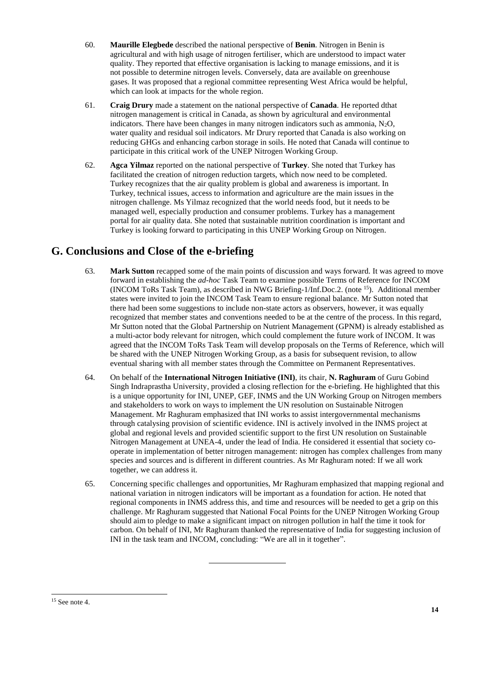- 60. **Maurille Elegbede** described the national perspective of **Benin**. Nitrogen in Benin is agricultural and with high usage of nitrogen fertiliser, which are understood to impact water quality. They reported that effective organisation is lacking to manage emissions, and it is not possible to determine nitrogen levels. Conversely, data are available on greenhouse gases. It was proposed that a regional committee representing West Africa would be helpful, which can look at impacts for the whole region.
- 61. **Craig Drury** made a statement on the national perspective of **Canada**. He reported dthat nitrogen management is critical in Canada, as shown by agricultural and environmental indicators. There have been changes in many nitrogen indicators such as ammonia,  $N_2O$ , water quality and residual soil indicators. Mr Drury reported that Canada is also working on reducing GHGs and enhancing carbon storage in soils. He noted that Canada will continue to participate in this critical work of the UNEP Nitrogen Working Group.
- 62. **Agca Yilmaz** reported on the national perspective of **Turkey**. She noted that Turkey has facilitated the creation of nitrogen reduction targets, which now need to be completed. Turkey recognizes that the air quality problem is global and awareness is important. In Turkey, technical issues, access to information and agriculture are the main issues in the nitrogen challenge. Ms Yilmaz recognized that the world needs food, but it needs to be managed well, especially production and consumer problems. Turkey has a management portal for air quality data. She noted that sustainable nutrition coordination is important and Turkey is looking forward to participating in this UNEP Working Group on Nitrogen.

# **G. Conclusions and Close of the e-briefing**

- 63. **Mark Sutton** recapped some of the main points of discussion and ways forward. It was agreed to move forward in establishing the *ad-hoc* Task Team to examine possible Terms of Reference for INCOM (INCOM ToRs Task Team), as described in NWG Briefing-1/Inf.Doc.2. (note <sup>15</sup>). Additional member states were invited to join the INCOM Task Team to ensure regional balance. Mr Sutton noted that there had been some suggestions to include non-state actors as observers, however, it was equally recognized that member states and conventions needed to be at the centre of the process. In this regard, Mr Sutton noted that the Global Partnership on Nutrient Management (GPNM) is already established as a multi-actor body relevant for nitrogen, which could complement the future work of INCOM. It was agreed that the INCOM ToRs Task Team will develop proposals on the Terms of Reference, which will be shared with the UNEP Nitrogen Working Group, as a basis for subsequent revision, to allow eventual sharing with all member states through the Committee on Permanent Representatives.
- 64. On behalf of the **International Nitrogen Initiative (INI)**, its chair, **N. Raghuram** of Guru Gobind Singh Indraprastha University, provided a closing reflection for the e-briefing. He highlighted that this is a unique opportunity for INI, UNEP, GEF, INMS and the UN Working Group on Nitrogen members and stakeholders to work on ways to implement the UN resolution on Sustainable Nitrogen Management. Mr Raghuram emphasized that INI works to assist intergovernmental mechanisms through catalysing provision of scientific evidence. INI is actively involved in the INMS project at global and regional levels and provided scientific support to the first UN resolution on Sustainable Nitrogen Management at UNEA-4, under the lead of India. He considered it essential that society cooperate in implementation of better nitrogen management: nitrogen has complex challenges from many species and sources and is different in different countries. As Mr Raghuram noted: If we all work together, we can address it.
- 65. Concerning specific challenges and opportunities, Mr Raghuram emphasized that mapping regional and national variation in nitrogen indicators will be important as a foundation for action. He noted that regional components in INMS address this, and time and resources will be needed to get a grip on this challenge. Mr Raghuram suggested that National Focal Points for the UNEP Nitrogen Working Group should aim to pledge to make a significant impact on nitrogen pollution in half the time it took for carbon. On behalf of INI, Mr Raghuram thanked the representative of India for suggesting inclusion of INI in the task team and INCOM, concluding: "We are all in it together".

<sup>&</sup>lt;sup>15</sup> See note 4.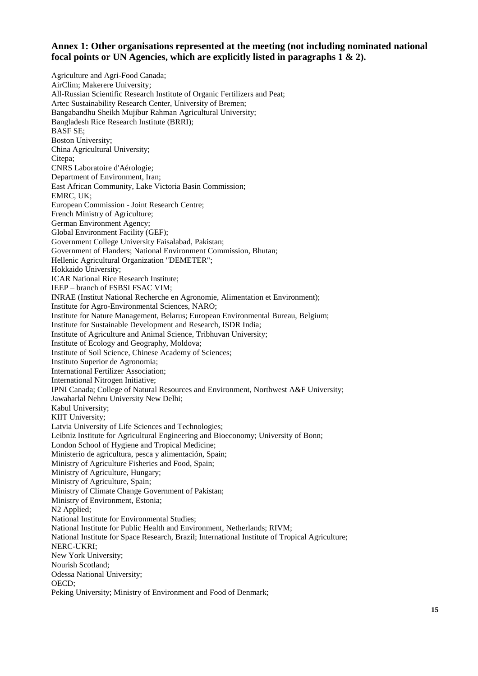### **Annex 1: Other organisations represented at the meeting (not including nominated national focal points or UN Agencies, which are explicitly listed in paragraphs 1 & 2).**

Agriculture and Agri-Food Canada; AirClim; Makerere University; All-Russian Scientific Research Institute of Organic Fertilizers and Peat; Artec Sustainability Research Center, University of Bremen; Bangabandhu Sheikh Mujibur Rahman Agricultural University; Bangladesh Rice Research Institute (BRRI); BASF SE; Boston University; China Agricultural University; Citepa; CNRS Laboratoire d'Aérologie; Department of Environment, Iran; East African Community, Lake Victoria Basin Commission; EMRC, UK; European Commission - Joint Research Centre; French Ministry of Agriculture; German Environment Agency; Global Environment Facility (GEF); Government College University Faisalabad, Pakistan; Government of Flanders; National Environment Commission, Bhutan; Hellenic Agricultural Organization "DEMETER"; Hokkaido University; ICAR National Rice Research Institute; IEEP – branch of FSBSI FSAC VIM; INRAE (Institut National Recherche en Agronomie, Alimentation et Environment); Institute for Agro-Environmental Sciences, NARO; Institute for Nature Management, Belarus; European Environmental Bureau, Belgium; Institute for Sustainable Development and Research, ISDR India; Institute of Agriculture and Animal Science, Tribhuvan University; Institute of Ecology and Geography, Moldova; Institute of Soil Science, Chinese Academy of Sciences; Instituto Superior de Agronomia; International Fertilizer Association; International Nitrogen Initiative; IPNI Canada; College of Natural Resources and Environment, Northwest A&F University; Jawaharlal Nehru University New Delhi; Kabul University; KIIT University; Latvia University of Life Sciences and Technologies; Leibniz Institute for Agricultural Engineering and Bioeconomy; University of Bonn; London School of Hygiene and Tropical Medicine; Ministerio de agricultura, pesca y alimentación, Spain; Ministry of Agriculture Fisheries and Food, Spain; Ministry of Agriculture, Hungary; Ministry of Agriculture, Spain; Ministry of Climate Change Government of Pakistan; Ministry of Environment, Estonia; N2 Applied; National Institute for Environmental Studies; National Institute for Public Health and Environment, Netherlands; RIVM; National Institute for Space Research, Brazil; International Institute of Tropical Agriculture; NERC-UKRI; New York University; Nourish Scotland; Odessa National University; OECD; Peking University; Ministry of Environment and Food of Denmark;